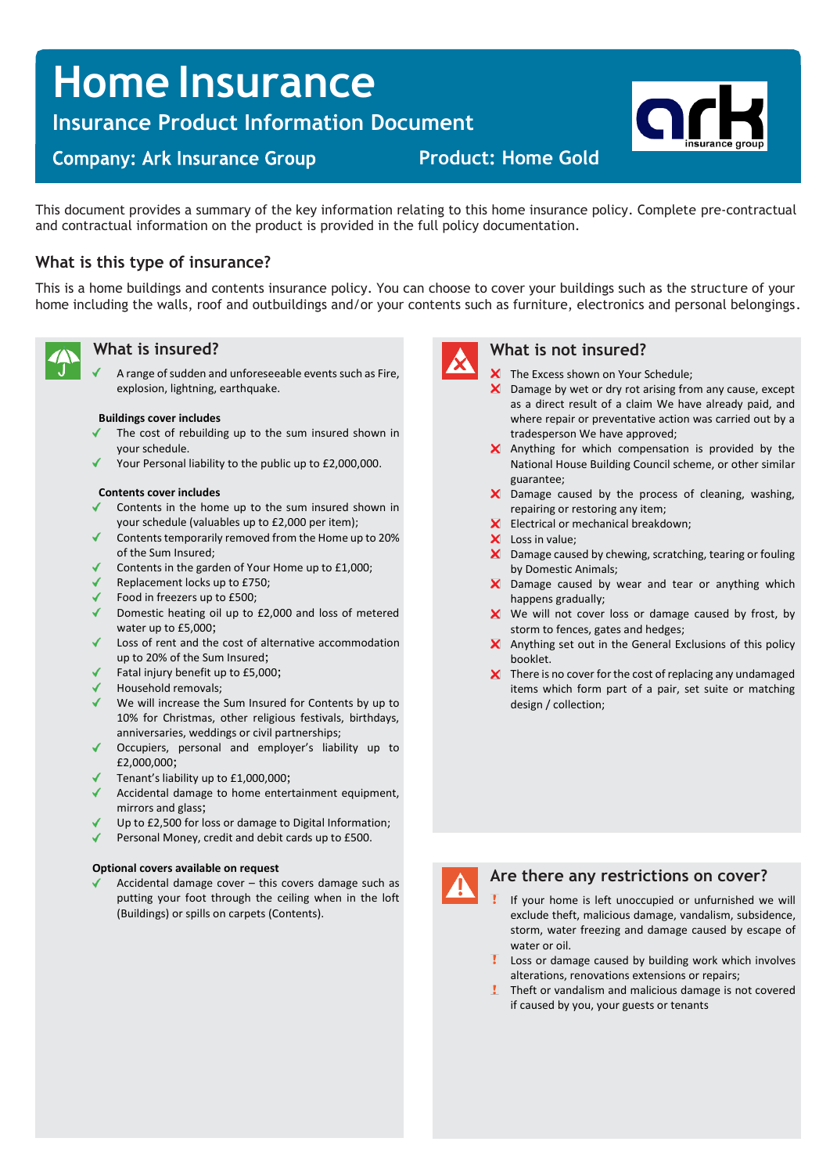# **Home Insurance**

**Insurance Product Information Document**

# **Company: Ark Insurance Group**

**Product: Home Gold**

This document provides a summary of the key information relating to this home insurance policy. Complete pre-contractual and contractual information on the product is provided in the full policy documentation.

## **What is this type of insurance?**

This is a home buildings and contents insurance policy. You can choose to cover your buildings such as the structure of your home including the walls, roof and outbuildings and/or your contents such as furniture, electronics and personal belongings.



### **What is insured?**

A range of sudden and unforeseeable events such as Fire, explosion, lightning, earthquake.

### **Buildings cover includes**

- The cost of rebuilding up to the sum insured shown in your schedule.
- Your Personal liability to the public up to £2,000,000.

### **Contents cover includes**

- Contents in the home up to the sum insured shown in your schedule (valuables up to £2,000 per item);
- Contents temporarily removed from the Home up to 20% of the Sum Insured;
- Contents in the garden of Your Home up to £1,000;
- Replacement locks up to £750;
- Food in freezers up to £500;
- Domestic heating oil up to  $£2,000$  and loss of metered water up to £5,000;
- Loss of rent and the cost of alternative accommodation up to 20% of the Sum Insured;
- Fatal injury benefit up to £5,000;
- Household removals;
- We will increase the Sum Insured for Contents by up to 10% for Christmas, other religious festivals, birthdays, anniversaries, weddings or civil partnerships;
- Occupiers, personal and employer's liability up to £2,000,000;
- Tenant's liability up to £1,000,000;
- Accidental damage to home entertainment equipment, mirrors and glass;
- Up to £2,500 for loss or damage to Digital Information;
- Personal Money, credit and debit cards up to £500.

### **Optional covers available on request**

Accidental damage cover – this covers damage such as putting your foot through the ceiling when in the loft (Buildings) or spills on carpets (Contents).



### **What is not insured?**

- X The Excess shown on Your Schedule;
- $\boldsymbol{\times}$  Damage by wet or dry rot arising from any cause, except as a direct result of a claim We have already paid, and where repair or preventative action was carried out by a tradesperson We have approved;
- $\boldsymbol{\times}$  Anything for which compensation is provided by the National House Building Council scheme, or other similar guarantee;
- X Damage caused by the process of cleaning, washing, repairing or restoring any item;
- Electrical or mechanical breakdown;
- X Loss in value;
- X Damage caused by chewing, scratching, tearing or fouling by Domestic Animals;
- X Damage caused by wear and tear or anything which happens gradually;
- $\boldsymbol{\times}$  We will not cover loss or damage caused by frost, by storm to fences, gates and hedges;
- $\times$  Anything set out in the General Exclusions of this policy booklet.
- $\boldsymbol{\times}$  There is no cover for the cost of replacing any undamaged items which form part of a pair, set suite or matching design / collection;



### **Are there any restrictions on cover?**

- If your home is left unoccupied or unfurnished we will exclude theft, malicious damage, vandalism, subsidence, storm, water freezing and damage caused by escape of water or oil.
- Loss or damage caused by building work which involves alterations, renovations extensions or repairs;
- **!** Theft or vandalism and malicious damage is not covered if caused by you, your guests or tenants